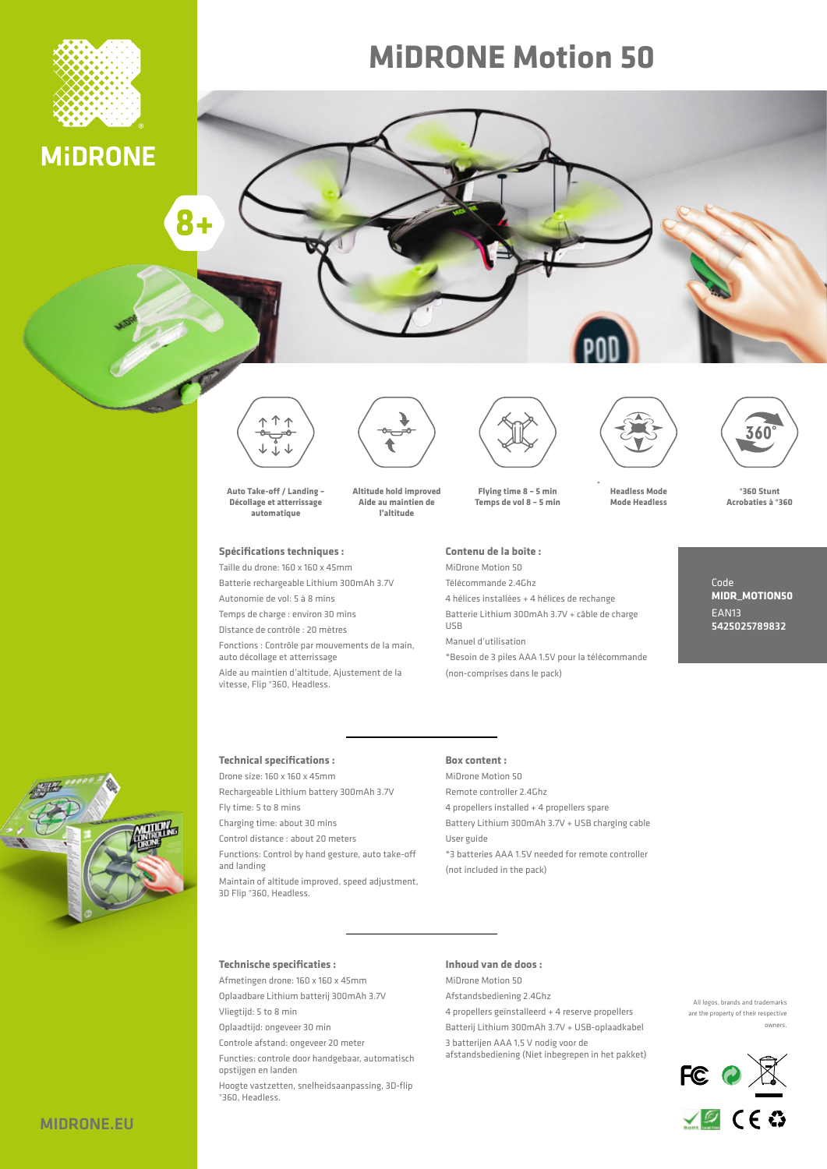

**MIDRONE** 

Я

# **MiDRONE Motion 50**





**altitude'l**

**Altitude hold improved** Aide au maintien de



Taille du drone: 160 x 160 x 45mm Batterie rechargeable Lithium 300mAh 3.7V

Autonomie de vol: 5 à 8 mins Temps de charge : environ 30 mins

Distance de contrôle : 20 mètres

Fonctions : Contrôle par mouvements de la main, auto décollage et atterrissage

Aide au maintien d'altitude, Ajustement de la vitesse, Flip °360, Headless



**Flying time 8 - 5 min** Temps de vol 8 – 5 min

4 hélices installées + 4 hélices de rechange Batterie Lithium 300 mAh 3.7V + câble de charge

\*Besoin de 3 piles AAA 1.5V pour la télécommande

Contenu de la boîte : MiDrone Motion 50 Télécommande 2.4 Ghz

Manuel d'utilisation

(non-comprises dans le pack)

**Headless Mode** 

**Headless Mode**



**Stunt** \*360 **°360 à Acrobaties**

Code **50MOTION\_MIDR** EAN13 5425025789832

### **Technical specifications :**

Drone size: 160 x 160 x 45mm Rechargeable Lithium battery 300mAh 3.7V Fly time: 5 to 8 mins

Charging time: about 30 mins

Control distance : about 20 meters

Functions: Control by hand gesture, auto take-off and landing

Maintain of altitude improved, speed adjustment, .Headless °360, Flip D3

#### **Box** content :

USB

MiDrone Motion 50 Remote controller 2.4 Ghz 4 propellers installed + 4 propellers spare Battery Lithium 300mAh 3.7V + USB charging cable User guide \*3 batteries AAA 1.5V needed for remote controller (not included in the pack)

#### **: specificaties Technische**

Afmetingen drone: 160 x 160 x 45mm Oplaadbare Lithium batterij 300mAh 3.7V

Vliegtijd: 5 to 8 min

Oplaadtijd: ongeveer 30 min

Controle afstand: ongeveer 20 meter

Functies: controle door handgebaar, automatisch opstijgen en landen

Hoogte vastzetten, snelheidsaanpassing, 3D-flip °360, Headless.

#### **: doos de van Inhoud**

MiDrone Motion 50

Afstandsbediening 2.4 Ghz

4 propellers geïnstalleerd + 4 reserve propellers

Batterij Lithium 300 mAh 3.7V + USB-oplaadkabel 3 batterijen AAA 1.5 V nodig voor de

afstandsbediening (Niet inbegrepen in het pakket)

.owners

All logos, brands and trademarks are the property of their respective